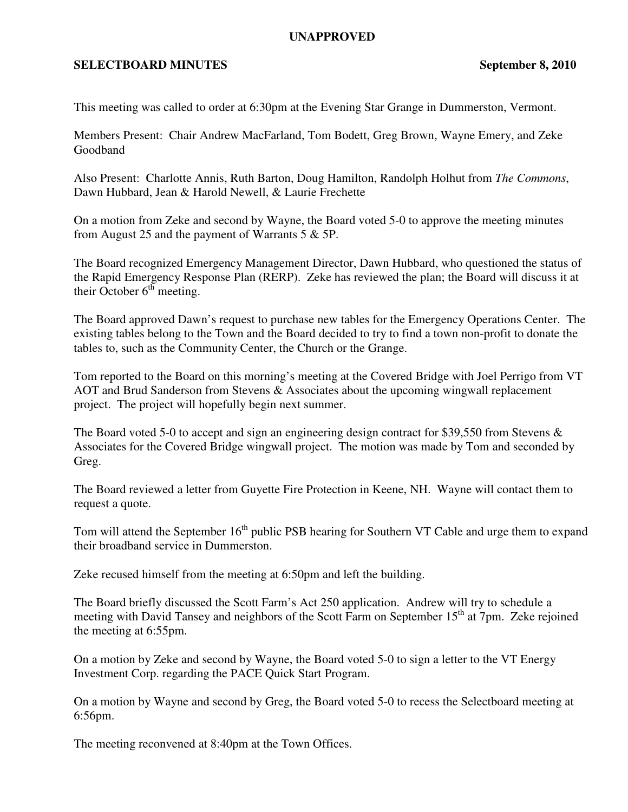## **UNAPPROVED**

## **SELECTBOARD MINUTES** September 8, 2010

This meeting was called to order at 6:30pm at the Evening Star Grange in Dummerston, Vermont.

Members Present: Chair Andrew MacFarland, Tom Bodett, Greg Brown, Wayne Emery, and Zeke Goodband

Also Present: Charlotte Annis, Ruth Barton, Doug Hamilton, Randolph Holhut from *The Commons*, Dawn Hubbard, Jean & Harold Newell, & Laurie Frechette

On a motion from Zeke and second by Wayne, the Board voted 5-0 to approve the meeting minutes from August 25 and the payment of Warrants 5 & 5P.

The Board recognized Emergency Management Director, Dawn Hubbard, who questioned the status of the Rapid Emergency Response Plan (RERP). Zeke has reviewed the plan; the Board will discuss it at their October  $6<sup>th</sup>$  meeting.

The Board approved Dawn's request to purchase new tables for the Emergency Operations Center. The existing tables belong to the Town and the Board decided to try to find a town non-profit to donate the tables to, such as the Community Center, the Church or the Grange.

Tom reported to the Board on this morning's meeting at the Covered Bridge with Joel Perrigo from VT AOT and Brud Sanderson from Stevens & Associates about the upcoming wingwall replacement project. The project will hopefully begin next summer.

The Board voted 5-0 to accept and sign an engineering design contract for \$39,550 from Stevens & Associates for the Covered Bridge wingwall project. The motion was made by Tom and seconded by Greg.

The Board reviewed a letter from Guyette Fire Protection in Keene, NH. Wayne will contact them to request a quote.

Tom will attend the September 16<sup>th</sup> public PSB hearing for Southern VT Cable and urge them to expand their broadband service in Dummerston.

Zeke recused himself from the meeting at 6:50pm and left the building.

The Board briefly discussed the Scott Farm's Act 250 application. Andrew will try to schedule a meeting with David Tansey and neighbors of the Scott Farm on September 15<sup>th</sup> at 7pm. Zeke rejoined the meeting at 6:55pm.

On a motion by Zeke and second by Wayne, the Board voted 5-0 to sign a letter to the VT Energy Investment Corp. regarding the PACE Quick Start Program.

On a motion by Wayne and second by Greg, the Board voted 5-0 to recess the Selectboard meeting at 6:56pm.

The meeting reconvened at 8:40pm at the Town Offices.